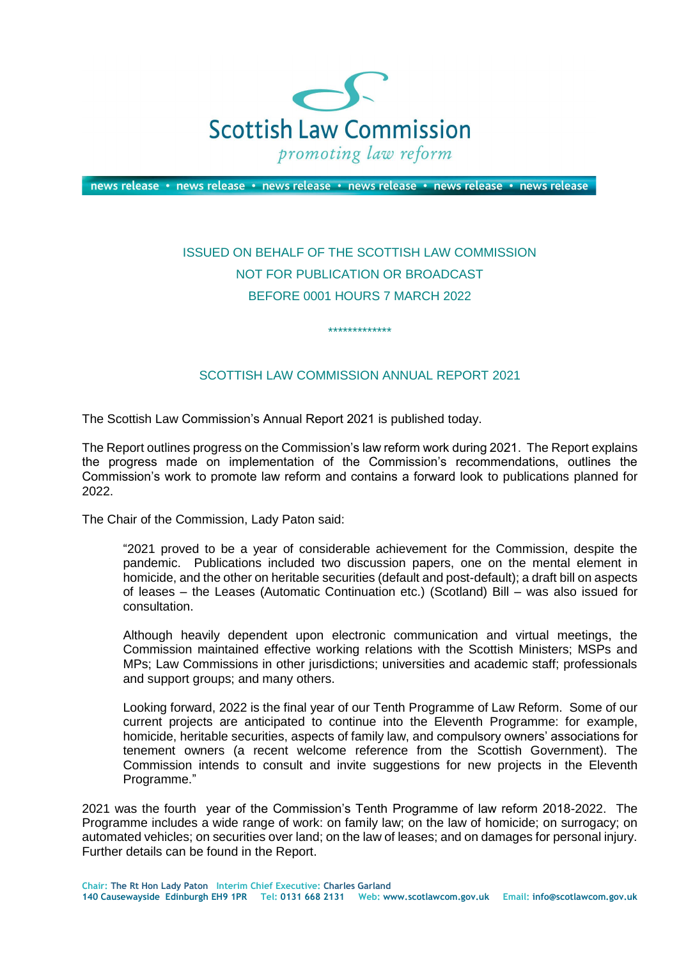

news release • news release • news release • news release • news release • news release

## ISSUED ON BEHALF OF THE SCOTTISH LAW COMMISSION NOT FOR PUBLICATION OR BROADCAST BEFORE 0001 HOURS 7 MARCH 2022

## SCOTTISH LAW COMMISSION ANNUAL REPORT 2021

\*\*\*\*\*\*\*\*\*\*\*\*\*

The Scottish Law Commission's Annual Report 2021 is published today.

The Report outlines progress on the Commission's law reform work during 2021. The Report explains the progress made on implementation of the Commission's recommendations, outlines the Commission's work to promote law reform and contains a forward look to publications planned for 2022.

The Chair of the Commission, Lady Paton said:

"2021 proved to be a year of considerable achievement for the Commission, despite the pandemic. Publications included two discussion papers, one on the mental element in homicide, and the other on heritable securities (default and post-default); a draft bill on aspects of leases – the Leases (Automatic Continuation etc.) (Scotland) Bill – was also issued for consultation.

Although heavily dependent upon electronic communication and virtual meetings, the Commission maintained effective working relations with the Scottish Ministers; MSPs and MPs; Law Commissions in other jurisdictions; universities and academic staff; professionals and support groups; and many others.

Looking forward, 2022 is the final year of our Tenth Programme of Law Reform. Some of our current projects are anticipated to continue into the Eleventh Programme: for example, homicide, heritable securities, aspects of family law, and compulsory owners' associations for tenement owners (a recent welcome reference from the Scottish Government). The Commission intends to consult and invite suggestions for new projects in the Eleventh Programme."

2021 was the fourth year of the Commission's Tenth Programme of law reform 2018-2022. The Programme includes a wide range of work: on family law; on the law of homicide; on surrogacy; on automated vehicles; on securities over land; on the law of leases; and on damages for personal injury. Further details can be found in the Report.